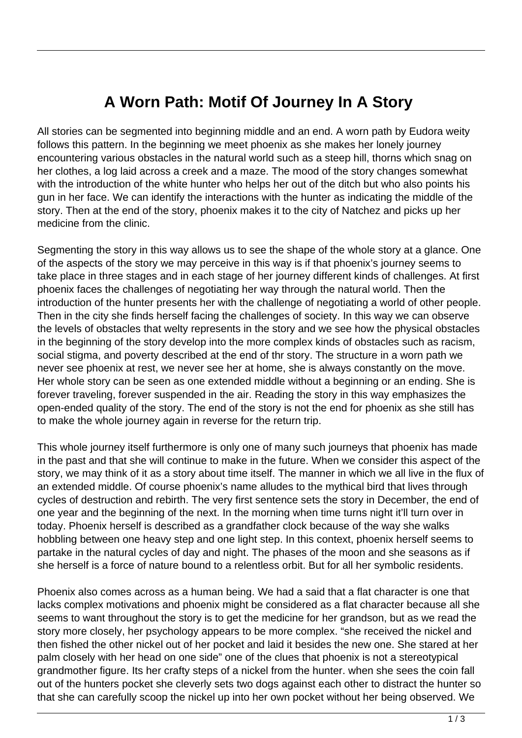## **A Worn Path: Motif Of Journey In A Story**

All stories can be segmented into beginning middle and an end. A worn path by Eudora weity follows this pattern. In the beginning we meet phoenix as she makes her lonely journey encountering various obstacles in the natural world such as a steep hill, thorns which snag on her clothes, a log laid across a creek and a maze. The mood of the story changes somewhat with the introduction of the white hunter who helps her out of the ditch but who also points his gun in her face. We can identify the interactions with the hunter as indicating the middle of the story. Then at the end of the story, phoenix makes it to the city of Natchez and picks up her medicine from the clinic.

Segmenting the story in this way allows us to see the shape of the whole story at a glance. One of the aspects of the story we may perceive in this way is if that phoenix's journey seems to take place in three stages and in each stage of her journey different kinds of challenges. At first phoenix faces the challenges of negotiating her way through the natural world. Then the introduction of the hunter presents her with the challenge of negotiating a world of other people. Then in the city she finds herself facing the challenges of society. In this way we can observe the levels of obstacles that welty represents in the story and we see how the physical obstacles in the beginning of the story develop into the more complex kinds of obstacles such as racism, social stigma, and poverty described at the end of thr story. The structure in a worn path we never see phoenix at rest, we never see her at home, she is always constantly on the move. Her whole story can be seen as one extended middle without a beginning or an ending. She is forever traveling, forever suspended in the air. Reading the story in this way emphasizes the open-ended quality of the story. The end of the story is not the end for phoenix as she still has to make the whole journey again in reverse for the return trip.

This whole journey itself furthermore is only one of many such journeys that phoenix has made in the past and that she will continue to make in the future. When we consider this aspect of the story, we may think of it as a story about time itself. The manner in which we all live in the flux of an extended middle. Of course phoenix's name alludes to the mythical bird that lives through cycles of destruction and rebirth. The very first sentence sets the story in December, the end of one year and the beginning of the next. In the morning when time turns night it'll turn over in today. Phoenix herself is described as a grandfather clock because of the way she walks hobbling between one heavy step and one light step. In this context, phoenix herself seems to partake in the natural cycles of day and night. The phases of the moon and she seasons as if she herself is a force of nature bound to a relentless orbit. But for all her symbolic residents.

Phoenix also comes across as a human being. We had a said that a flat character is one that lacks complex motivations and phoenix might be considered as a flat character because all she seems to want throughout the story is to get the medicine for her grandson, but as we read the story more closely, her psychology appears to be more complex. "she received the nickel and then fished the other nickel out of her pocket and laid it besides the new one. She stared at her palm closely with her head on one side" one of the clues that phoenix is not a stereotypical grandmother figure. Its her crafty steps of a nickel from the hunter. when she sees the coin fall out of the hunters pocket she cleverly sets two dogs against each other to distract the hunter so that she can carefully scoop the nickel up into her own pocket without her being observed. We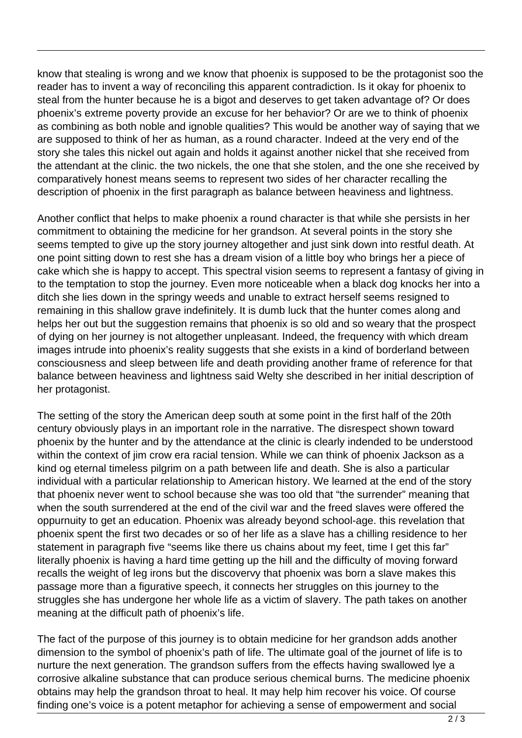know that stealing is wrong and we know that phoenix is supposed to be the protagonist soo the reader has to invent a way of reconciling this apparent contradiction. Is it okay for phoenix to steal from the hunter because he is a bigot and deserves to get taken advantage of? Or does phoenix's extreme poverty provide an excuse for her behavior? Or are we to think of phoenix as combining as both noble and ignoble qualities? This would be another way of saying that we are supposed to think of her as human, as a round character. Indeed at the very end of the story she tales this nickel out again and holds it against another nickel that she received from the attendant at the clinic. the two nickels, the one that she stolen, and the one she received by comparatively honest means seems to represent two sides of her character recalling the description of phoenix in the first paragraph as balance between heaviness and lightness.

Another conflict that helps to make phoenix a round character is that while she persists in her commitment to obtaining the medicine for her grandson. At several points in the story she seems tempted to give up the story journey altogether and just sink down into restful death. At one point sitting down to rest she has a dream vision of a little boy who brings her a piece of cake which she is happy to accept. This spectral vision seems to represent a fantasy of giving in to the temptation to stop the journey. Even more noticeable when a black dog knocks her into a ditch she lies down in the springy weeds and unable to extract herself seems resigned to remaining in this shallow grave indefinitely. It is dumb luck that the hunter comes along and helps her out but the suggestion remains that phoenix is so old and so weary that the prospect of dying on her journey is not altogether unpleasant. Indeed, the frequency with which dream images intrude into phoenix's reality suggests that she exists in a kind of borderland between consciousness and sleep between life and death providing another frame of reference for that balance between heaviness and lightness said Welty she described in her initial description of her protagonist.

The setting of the story the American deep south at some point in the first half of the 20th century obviously plays in an important role in the narrative. The disrespect shown toward phoenix by the hunter and by the attendance at the clinic is clearly indended to be understood within the context of jim crow era racial tension. While we can think of phoenix Jackson as a kind og eternal timeless pilgrim on a path between life and death. She is also a particular individual with a particular relationship to American history. We learned at the end of the story that phoenix never went to school because she was too old that "the surrender" meaning that when the south surrendered at the end of the civil war and the freed slaves were offered the oppurnuity to get an education. Phoenix was already beyond school-age. this revelation that phoenix spent the first two decades or so of her life as a slave has a chilling residence to her statement in paragraph five "seems like there us chains about my feet, time I get this far" literally phoenix is having a hard time getting up the hill and the difficulty of moving forward recalls the weight of leg irons but the discovervy that phoenix was born a slave makes this passage more than a figurative speech, it connects her struggles on this journey to the struggles she has undergone her whole life as a victim of slavery. The path takes on another meaning at the difficult path of phoenix's life.

The fact of the purpose of this journey is to obtain medicine for her grandson adds another dimension to the symbol of phoenix's path of life. The ultimate goal of the journet of life is to nurture the next generation. The grandson suffers from the effects having swallowed lye a corrosive alkaline substance that can produce serious chemical burns. The medicine phoenix obtains may help the grandson throat to heal. It may help him recover his voice. Of course finding one's voice is a potent metaphor for achieving a sense of empowerment and social